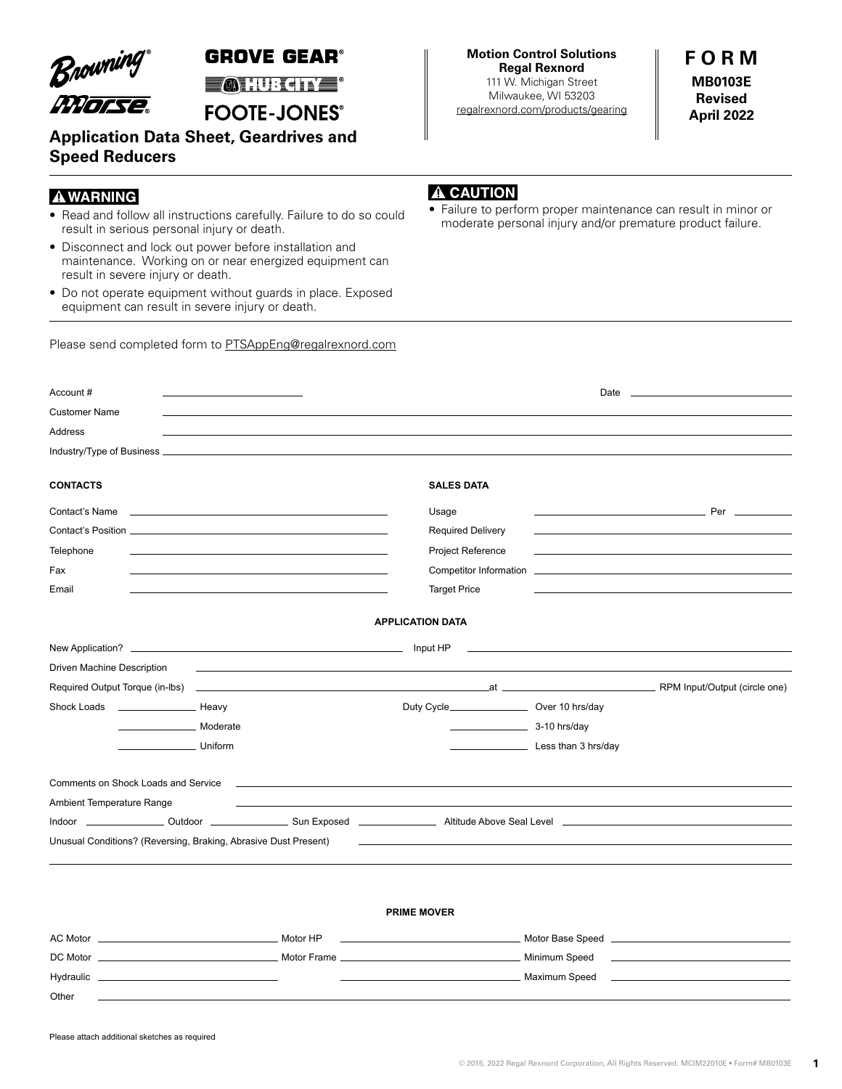Browning

## **GROVE GEAR®**

**MIURE**®

**FOOTE-JONES®** 

**Application Data Sheet, Geardrives and Speed Reducers**

## **AWARNING**

- Read and follow all instructions carefully. Failure to do so could<br>moderate personal injury and/or premature product failure. result in serious personal injury or death.
- Disconnect and lock out power before installation and maintenance. Working on or near energized equipment can result in severe injury or death.
- Do not operate equipment without guards in place. Exposed equipment can result in severe injury or death.

Please send completed form to [PTSAppEng@regalrexnord.com](mailto:PTSAppEng%40regalrexnord.com?subject=)

## A CAUTION

Failure to perform proper maintenance can result in minor or

| Account #                                                                                                               |                                                                                           |                         |                                                     |                                                                                                                  |                                                                                                                                                                                                                               |
|-------------------------------------------------------------------------------------------------------------------------|-------------------------------------------------------------------------------------------|-------------------------|-----------------------------------------------------|------------------------------------------------------------------------------------------------------------------|-------------------------------------------------------------------------------------------------------------------------------------------------------------------------------------------------------------------------------|
| <b>Customer Name</b>                                                                                                    |                                                                                           |                         |                                                     |                                                                                                                  |                                                                                                                                                                                                                               |
| Address                                                                                                                 |                                                                                           |                         |                                                     |                                                                                                                  |                                                                                                                                                                                                                               |
|                                                                                                                         |                                                                                           |                         |                                                     |                                                                                                                  |                                                                                                                                                                                                                               |
| <b>CONTACTS</b>                                                                                                         |                                                                                           |                         | <b>SALES DATA</b>                                   |                                                                                                                  |                                                                                                                                                                                                                               |
|                                                                                                                         |                                                                                           |                         |                                                     |                                                                                                                  |                                                                                                                                                                                                                               |
| Contact's Name <b>contact</b> is not all the contact of the contact of the contact of the contact of the contact of the |                                                                                           |                         | Usage                                               |                                                                                                                  | <u> Personalita de la contrada de la contrada de la contrada de la contrada de la contrada de la contrada de la c</u>                                                                                                         |
|                                                                                                                         |                                                                                           |                         | <b>Required Delivery</b>                            |                                                                                                                  | the control of the control of the control of the control of the control of the control of the control of the control of the control of the control of the control of the control of the control of the control of the control |
| Telephone                                                                                                               |                                                                                           |                         | Project Reference                                   |                                                                                                                  |                                                                                                                                                                                                                               |
| Fax                                                                                                                     | the control of the control of the control of the control of the control of the control of |                         |                                                     |                                                                                                                  |                                                                                                                                                                                                                               |
| Email                                                                                                                   |                                                                                           |                         | <b>Target Price</b>                                 |                                                                                                                  |                                                                                                                                                                                                                               |
|                                                                                                                         |                                                                                           | <b>APPLICATION DATA</b> |                                                     |                                                                                                                  |                                                                                                                                                                                                                               |
|                                                                                                                         |                                                                                           |                         |                                                     |                                                                                                                  | <u> 1990 - Johann John Stoff, deutscher Stoffen und der Stoffen und der Stoffen und der Stoffen und der Stoffen un</u>                                                                                                        |
| Driven Machine Description                                                                                              |                                                                                           |                         |                                                     |                                                                                                                  |                                                                                                                                                                                                                               |
|                                                                                                                         |                                                                                           |                         |                                                     |                                                                                                                  |                                                                                                                                                                                                                               |
|                                                                                                                         |                                                                                           |                         | Duty Cycle_________________________ Over 10 hrs/day |                                                                                                                  |                                                                                                                                                                                                                               |
| Moderate Moderate                                                                                                       |                                                                                           |                         | $\frac{1}{2}$ 3-10 hrs/day                          |                                                                                                                  |                                                                                                                                                                                                                               |
| <b>Example 1</b> Uniform                                                                                                |                                                                                           |                         |                                                     | Less than 3 hrs/day                                                                                              |                                                                                                                                                                                                                               |
|                                                                                                                         |                                                                                           |                         |                                                     |                                                                                                                  |                                                                                                                                                                                                                               |
| Comments on Shock Loads and Service <u>Community Community of the Community Community Community Community Community</u> |                                                                                           |                         |                                                     |                                                                                                                  |                                                                                                                                                                                                                               |
| Ambient Temperature Range                                                                                               |                                                                                           |                         |                                                     |                                                                                                                  |                                                                                                                                                                                                                               |
|                                                                                                                         |                                                                                           |                         |                                                     |                                                                                                                  |                                                                                                                                                                                                                               |
| Unusual Conditions? (Reversing, Braking, Abrasive Dust Present)                                                         |                                                                                           |                         |                                                     | and the control of the control of the control of the control of the control of the control of the control of the |                                                                                                                                                                                                                               |
|                                                                                                                         |                                                                                           |                         |                                                     |                                                                                                                  |                                                                                                                                                                                                                               |
|                                                                                                                         |                                                                                           |                         |                                                     |                                                                                                                  |                                                                                                                                                                                                                               |
|                                                                                                                         |                                                                                           | <b>PRIME MOVER</b>      |                                                     |                                                                                                                  |                                                                                                                                                                                                                               |
| $AC$ Mater                                                                                                              | Mater UD                                                                                  |                         |                                                     | Mater Dass Coast                                                                                                 |                                                                                                                                                                                                                               |

AC Motor Motor HP Motor Base Speed DC Motor Motor Frame Minimum Speed Hydraulic Maximum Speed **Other** 

**Motion Control Solutions Regal Rexnord**

111 W. Michigan Street Milwaukee, WI 53203 [regalrexnord.com/products/gearing](http://regalbeloit.com/products/gearing) **F O R M MB0103E Revised April 2022**